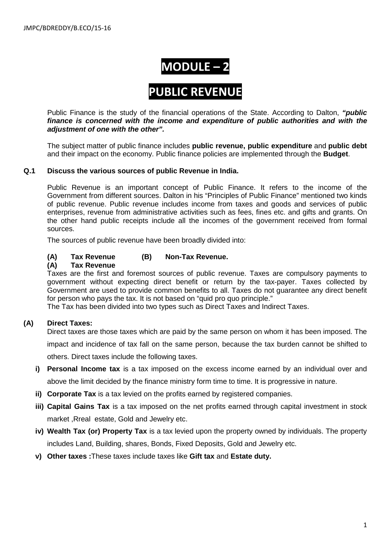# **MODULE – 2**

# **PUBLIC REVENUE**

Public Finance is the study of the financial operations of the State. According to Dalton, *"public finance is concerned with the income and expenditure of public authorities and with the adjustment of one with the other".*

The subject matter of public finance includes **public revenue, public expenditure** and **public debt** and their impact on the economy. Public finance policies are implemented through the **Budget**.

#### **Q.1 Discuss the various sources of public Revenue in India.**

Public Revenue is an important concept of Public Finance. It refers to the income of the Government from different sources. Dalton in his "Principles of Public Finance" mentioned two kinds of public revenue. Public revenue includes income from taxes and goods and services of public enterprises, revenue from administrative activities such as fees, fines etc. and gifts and grants. On the other hand public receipts include all the incomes of the government received from formal sources.

The sources of public revenue have been broadly divided into:

#### **(A) Tax Revenue (B) Non-Tax Revenue.**

#### **(A) Tax Revenue**

Taxes are the first and foremost sources of public revenue. Taxes are compulsory payments to government without expecting direct benefit or return by the tax-payer. Taxes collected by Government are used to provide common benefits to all. Taxes do not guarantee any direct benefit for person who pays the tax. It is not based on "quid pro quo principle."

The Tax has been divided into two types such as Direct Taxes and Indirect Taxes.

#### **(A) Direct Taxes:**

Direct taxes are those taxes which are paid by the same person on whom it has been imposed. The impact and incidence of tax fall on the same person, because the tax burden cannot be shifted to others. Direct taxes include the following taxes.

- **i) Personal Income tax** is a tax imposed on the excess income earned by an individual over and above the limit decided by the finance ministry form time to time. It is progressive in nature.
- **ii) Corporate Tax** is a tax levied on the profits earned by registered companies.
- **iii) Capital Gains Tax** is a tax imposed on the net profits earned through capital investment in stock market ,Rreal estate, Gold and Jewelry etc.
- **iv) Wealth Tax (or) Property Tax** is a tax levied upon the property owned by individuals. The property includes Land, Building, shares, Bonds, Fixed Deposits, Gold and Jewelry etc.
- **v) Other taxes :**These taxes include taxes like **Gift tax** and **Estate duty.**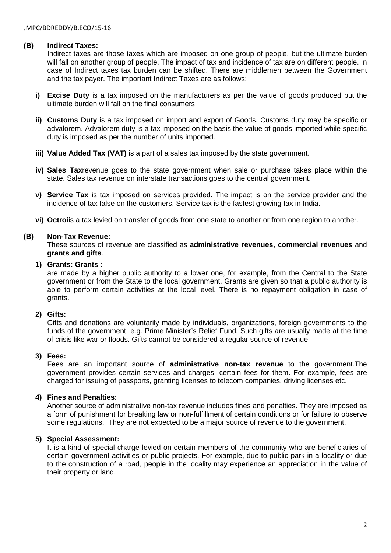#### **(B) Indirect Taxes:**

Indirect taxes are those taxes which are imposed on one group of people, but the ultimate burden will fall on another group of people. The impact of tax and incidence of tax are on different people. In case of Indirect taxes tax burden can be shifted. There are middlemen between the Government and the tax payer. The important Indirect Taxes are as follows:

- **i) Excise Duty** is a tax imposed on the manufacturers as per the value of goods produced but the ultimate burden will fall on the final consumers.
- **ii) Customs Duty** is a tax imposed on import and export of Goods. Customs duty may be specific or advalorem. Advalorem duty is a tax imposed on the basis the value of goods imported while specific duty is imposed as per the number of units imported.
- **iii) Value Added Tax (VAT)** is a part of a sales tax imposed by the state government.
- **iv) Sales Tax**revenue goes to the state government when sale or purchase takes place within the state. Sales tax revenue on interstate transactions goes to the central government.
- **v) Service Tax** is tax imposed on services provided. The impact is on the service provider and the incidence of tax false on the customers. Service tax is the fastest growing tax in India.
- **vi) Octroi**is a tax levied on transfer of goods from one state to another or from one region to another.

#### **(B) Non-Tax Revenue:**

These sources of revenue are classified as **administrative revenues, commercial revenues** and **grants and gifts**.

#### **1) Grants: Grants :**

are made by a higher public authority to a lower one, for example, from the Central to the State government or from the State to the local government. Grants are given so that a public authority is able to perform certain activities at the local level. There is no repayment obligation in case of grants.

#### **2) Gifts:**

Gifts and donations are voluntarily made by individuals, organizations, foreign governments to the funds of the government, e.g. Prime Minister's Relief Fund. Such gifts are usually made at the time of crisis like war or floods. Gifts cannot be considered a regular source of revenue.

#### **3) Fees:**

Fees are an important source of **administrative non-tax revenue** to the government.The government provides certain services and charges, certain fees for them. For example, fees are charged for issuing of passports, granting licenses to telecom companies, driving licenses etc.

#### **4) Fines and Penalties:**

Another source of administrative non-tax revenue includes fines and penalties. They are imposed as a form of punishment for breaking law or non-fulfillment of certain conditions or for failure to observe some regulations. They are not expected to be a major source of revenue to the government.

#### **5) Special Assessment:**

It is a kind of special charge levied on certain members of the community who are beneficiaries of certain government activities or public projects. For example, due to public park in a locality or due to the construction of a road, people in the locality may experience an appreciation in the value of their property or land.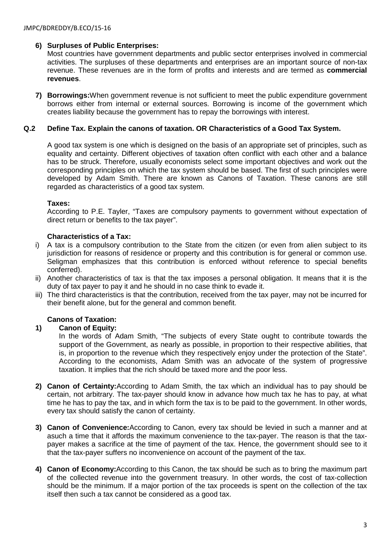# **6) Surpluses of Public Enterprises:**

Most countries have government departments and public sector enterprises involved in commercial activities. The surpluses of these departments and enterprises are an important source of non-tax revenue. These revenues are in the form of profits and interests and are termed as **commercial revenues**.

**7) Borrowings:**When government revenue is not sufficient to meet the public expenditure government borrows either from internal or external sources. Borrowing is income of the government which creates liability because the government has to repay the borrowings with interest.

#### **Q.2 Define Tax. Explain the canons of taxation. OR Characteristics of a Good Tax System.**

A good tax system is one which is designed on the basis of an appropriate set of principles, such as equality and certainty. Different objectives of taxation often conflict with each other and a balance has to be struck. Therefore, usually economists select some important objectives and work out the corresponding principles on which the tax system should be based. The first of such principles were developed by Adam Smith. There are known as Canons of Taxation. These canons are still regarded as characteristics of a good tax system.

# **Taxes:**

According to P.E. Tayler, "Taxes are compulsory payments to government without expectation of direct return or benefits to the tax payer".

# **Characteristics of a Tax:**

- i) A tax is a compulsory contribution to the State from the citizen (or even from alien subject to its jurisdiction for reasons of residence or property and this contribution is for general or common use. Seligman emphasizes that this contribution is enforced without reference to special benefits conferred).
- ii) Another characteristics of tax is that the tax imposes a personal obligation. It means that it is the duty of tax payer to pay it and he should in no case think to evade it.
- iii) The third characteristics is that the contribution, received from the tax payer, may not be incurred for their benefit alone, but for the general and common benefit.

# **Canons of Taxation:**

#### **1) Canon of Equity:**

In the words of Adam Smith, "The subjects of every State ought to contribute towards the support of the Government, as nearly as possible, in proportion to their respective abilities, that is, in proportion to the revenue which they respectively enjoy under the protection of the State". According to the economists, Adam Smith was an advocate of the system of progressive taxation. It implies that the rich should be taxed more and the poor less.

- **2) Canon of Certainty:**According to Adam Smith, the tax which an individual has to pay should be certain, not arbitrary. The tax-payer should know in advance how much tax he has to pay, at what time he has to pay the tax, and in which form the tax is to be paid to the government. In other words, every tax should satisfy the canon of certainty.
- **3) Canon of Convenience:**According to Canon, every tax should be levied in such a manner and at asuch a time that it affords the maximum convenience to the tax-payer. The reason is that the taxpayer makes a sacrifice at the time of payment of the tax. Hence, the government should see to it that the tax-payer suffers no inconvenience on account of the payment of the tax.
- **4) Canon of Economy:**According to this Canon, the tax should be such as to bring the maximum part of the collected revenue into the government treasury. In other words, the cost of tax-collection should be the minimum. If a major portion of the tax proceeds is spent on the collection of the tax itself then such a tax cannot be considered as a good tax.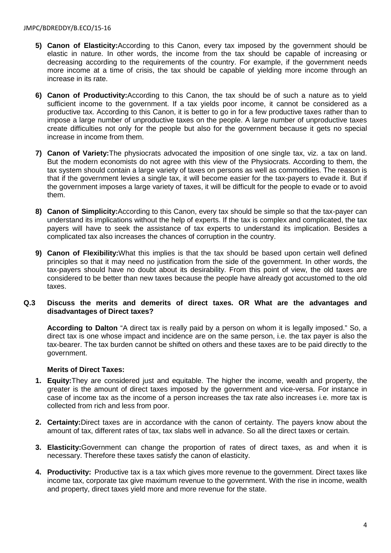- **5) Canon of Elasticity:**According to this Canon, every tax imposed by the government should be elastic in nature. In other words, the income from the tax should be capable of increasing or decreasing according to the requirements of the country. For example, if the government needs more income at a time of crisis, the tax should be capable of yielding more income through an increase in its rate.
- **6) Canon of Productivity:**According to this Canon, the tax should be of such a nature as to yield sufficient income to the government. If a tax yields poor income, it cannot be considered as a productive tax. According to this Canon, it is better to go in for a few productive taxes rather than to impose a large number of unproductive taxes on the people. A large number of unproductive taxes create difficulties not only for the people but also for the government because it gets no special increase in income from them.
- **7) Canon of Variety:**The physiocrats advocated the imposition of one single tax, viz. a tax on land. But the modern economists do not agree with this view of the Physiocrats. According to them, the tax system should contain a large variety of taxes on persons as well as commodities. The reason is that if the government levies a single tax, it will become easier for the tax-payers to evade it. But if the government imposes a large variety of taxes, it will be difficult for the people to evade or to avoid them.
- **8) Canon of Simplicity:**According to this Canon, every tax should be simple so that the tax-payer can understand its implications without the help of experts. If the tax is complex and complicated, the tax payers will have to seek the assistance of tax experts to understand its implication. Besides a complicated tax also increases the chances of corruption in the country.
- **9) Canon of Flexibility:**What this implies is that the tax should be based upon certain well defined principles so that it may need no justification from the side of the government. In other words, the tax-payers should have no doubt about its desirability. From this point of view, the old taxes are considered to be better than new taxes because the people have already got accustomed to the old taxes.

#### **Q.3 Discuss the merits and demerits of direct taxes. OR What are the advantages and disadvantages of Direct taxes?**

**According to Dalton** "A direct tax is really paid by a person on whom it is legally imposed." So, a direct tax is one whose impact and incidence are on the same person, i.e. the tax payer is also the tax-bearer. The tax burden cannot be shifted on others and these taxes are to be paid directly to the government.

#### **Merits of Direct Taxes:**

- **1. Equity:**They are considered just and equitable. The higher the income, wealth and property, the greater is the amount of direct taxes imposed by the government and vice-versa. For instance in case of income tax as the income of a person increases the tax rate also increases i.e. more tax is collected from rich and less from poor.
- **2. Certainty:**Direct taxes are in accordance with the canon of certainty. The payers know about the amount of tax, different rates of tax, tax slabs well in advance. So all the direct taxes or certain.
- **3. Elasticity:**Government can change the proportion of rates of direct taxes, as and when it is necessary. Therefore these taxes satisfy the canon of elasticity.
- **4. Productivity:** Productive tax is a tax which gives more revenue to the government. Direct taxes like income tax, corporate tax give maximum revenue to the government. With the rise in income, wealth and property, direct taxes yield more and more revenue for the state.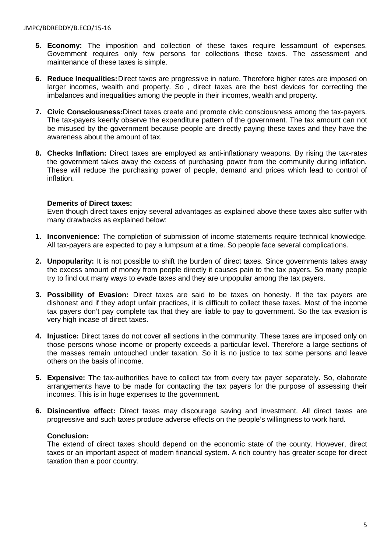- **5. Economy:** The imposition and collection of these taxes require lessamount of expenses. Government requires only few persons for collections these taxes. The assessment and maintenance of these taxes is simple.
- **6. Reduce Inequalities:**Direct taxes are progressive in nature. Therefore higher rates are imposed on larger incomes, wealth and property. So , direct taxes are the best devices for correcting the imbalances and inequalities among the people in their incomes, wealth and property.
- **7. Civic Consciousness:**Direct taxes create and promote civic consciousness among the tax-payers. The tax-payers keenly observe the expenditure pattern of the government. The tax amount can not be misused by the government because people are directly paying these taxes and they have the awareness about the amount of tax.
- **8. Checks Inflation:** Direct taxes are employed as anti-inflationary weapons. By rising the tax-rates the government takes away the excess of purchasing power from the community during inflation. These will reduce the purchasing power of people, demand and prices which lead to control of inflation.

#### **Demerits of Direct taxes:**

Even though direct taxes enjoy several advantages as explained above these taxes also suffer with many drawbacks as explained below:

- **1. Inconvenience:** The completion of submission of income statements require technical knowledge. All tax-payers are expected to pay a lumpsum at a time. So people face several complications.
- **2. Unpopularity:** It is not possible to shift the burden of direct taxes. Since governments takes away the excess amount of money from people directly it causes pain to the tax payers. So many people try to find out many ways to evade taxes and they are unpopular among the tax payers.
- **3. Possibility of Evasion:** Direct taxes are said to be taxes on honesty. If the tax payers are dishonest and if they adopt unfair practices, it is difficult to collect these taxes. Most of the income tax payers don't pay complete tax that they are liable to pay to government. So the tax evasion is very high incase of direct taxes.
- **4. Injustice:** Direct taxes do not cover all sections in the community. These taxes are imposed only on those persons whose income or property exceeds a particular level. Therefore a large sections of the masses remain untouched under taxation. So it is no justice to tax some persons and leave others on the basis of income.
- **5. Expensive:** The tax-authorities have to collect tax from every tax payer separately. So, elaborate arrangements have to be made for contacting the tax payers for the purpose of assessing their incomes. This is in huge expenses to the government.
- **6. Disincentive effect:** Direct taxes may discourage saving and investment. All direct taxes are progressive and such taxes produce adverse effects on the people's willingness to work hard.

#### **Conclusion:**

The extend of direct taxes should depend on the economic state of the county. However, direct taxes or an important aspect of modern financial system. A rich country has greater scope for direct taxation than a poor country.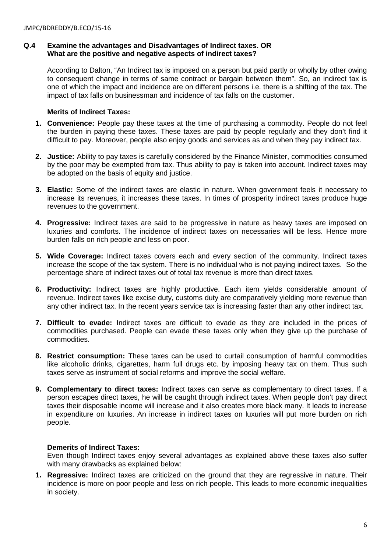#### **Q.4 Examine the advantages and Disadvantages of Indirect taxes. OR What are the positive and negative aspects of indirect taxes?**

According to Dalton, "An Indirect tax is imposed on a person but paid partly or wholly by other owing to consequent change in terms of same contract or bargain between them". So, an indirect tax is one of which the impact and incidence are on different persons i.e. there is a shifting of the tax. The impact of tax falls on businessman and incidence of tax falls on the customer.

# **Merits of Indirect Taxes:**

- **1. Convenience:** People pay these taxes at the time of purchasing a commodity. People do not feel the burden in paying these taxes. These taxes are paid by people regularly and they don't find it difficult to pay. Moreover, people also enjoy goods and services as and when they pay indirect tax.
- **2. Justice:** Ability to pay taxes is carefully considered by the Finance Minister, commodities consumed by the poor may be exempted from tax. Thus ability to pay is taken into account. Indirect taxes may be adopted on the basis of equity and justice.
- **3. Elastic:** Some of the indirect taxes are elastic in nature. When government feels it necessary to increase its revenues, it increases these taxes. In times of prosperity indirect taxes produce huge revenues to the government.
- **4. Progressive:** Indirect taxes are said to be progressive in nature as heavy taxes are imposed on luxuries and comforts. The incidence of indirect taxes on necessaries will be less. Hence more burden falls on rich people and less on poor.
- **5. Wide Coverage:** Indirect taxes covers each and every section of the community. Indirect taxes increase the scope of the tax system. There is no individual who is not paying indirect taxes. So the percentage share of indirect taxes out of total tax revenue is more than direct taxes.
- **6. Productivity:** Indirect taxes are highly productive. Each item yields considerable amount of revenue. Indirect taxes like excise duty, customs duty are comparatively yielding more revenue than any other indirect tax. In the recent years service tax is increasing faster than any other indirect tax.
- **7. Difficult to evade:** Indirect taxes are difficult to evade as they are included in the prices of commodities purchased. People can evade these taxes only when they give up the purchase of commodities.
- **8. Restrict consumption:** These taxes can be used to curtail consumption of harmful commodities like alcoholic drinks, cigarettes, harm full drugs etc. by imposing heavy tax on them. Thus such taxes serve as instrument of social reforms and improve the social welfare.
- **9. Complementary to direct taxes:** Indirect taxes can serve as complementary to direct taxes. If a person escapes direct taxes, he will be caught through indirect taxes. When people don't pay direct taxes their disposable income will increase and it also creates more black many. It leads to increase in expenditure on luxuries. An increase in indirect taxes on luxuries will put more burden on rich people.

#### **Demerits of Indirect Taxes:**

Even though Indirect taxes enjoy several advantages as explained above these taxes also suffer with many drawbacks as explained below:

**1. Regressive:** Indirect taxes are criticized on the ground that they are regressive in nature. Their incidence is more on poor people and less on rich people. This leads to more economic inequalities in society.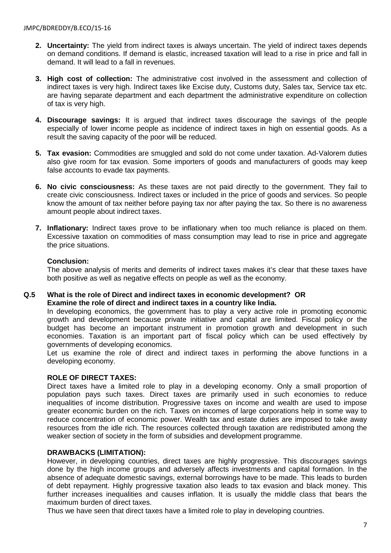- **2. Uncertainty:** The yield from indirect taxes is always uncertain. The yield of indirect taxes depends on demand conditions. If demand is elastic, increased taxation will lead to a rise in price and fall in demand. It will lead to a fall in revenues.
- **3. High cost of collection:** The administrative cost involved in the assessment and collection of indirect taxes is very high. Indirect taxes like Excise duty, Customs duty, Sales tax, Service tax etc. are having separate department and each department the administrative expenditure on collection of tax is very high.
- **4. Discourage savings:** It is argued that indirect taxes discourage the savings of the people especially of lower income people as incidence of indirect taxes in high on essential goods. As a result the saving capacity of the poor will be reduced.
- **5. Tax evasion:** Commodities are smuggled and sold do not come under taxation. Ad-Valorem duties also give room for tax evasion. Some importers of goods and manufacturers of goods may keep false accounts to evade tax payments.
- **6. No civic consciousness:** As these taxes are not paid directly to the government. They fail to create civic consciousness. Indirect taxes or included in the price of goods and services. So people know the amount of tax neither before paying tax nor after paying the tax. So there is no awareness amount people about indirect taxes.
- **7. Inflationary:** Indirect taxes prove to be inflationary when too much reliance is placed on them. Excessive taxation on commodities of mass consumption may lead to rise in price and aggregate the price situations.

#### **Conclusion:**

The above analysis of merits and demerits of indirect taxes makes it's clear that these taxes have both positive as well as negative effects on people as well as the economy.

#### **Q.5 What is the role of Direct and indirect taxes in economic development? OR Examine the role of direct and indirect taxes in a country like India.**

In developing economics, the government has to play a very active role in promoting economic growth and development because private initiative and capital are limited. Fiscal policy or the budget has become an important instrument in promotion growth and development in such economies. Taxation is an important part of fiscal policy which can be used effectively by governments of developing economics.

Let us examine the role of direct and indirect taxes in performing the above functions in a developing economy.

# **ROLE OF DIRECT TAXES:**

Direct taxes have a limited role to play in a developing economy. Only a small proportion of population pays such taxes. Direct taxes are primarily used in such economies to reduce inequalities of income distribution. Progressive taxes on income and wealth are used to impose greater economic burden on the rich. Taxes on incomes of large corporations help in some way to reduce concentration of economic power. Wealth tax and estate duties are imposed to take away resources from the idle rich. The resources collected through taxation are redistributed among the weaker section of society in the form of subsidies and development programme.

#### **DRAWBACKS (LIMITATION):**

However, in developing countries, direct taxes are highly progressive. This discourages savings done by the high income groups and adversely affects investments and capital formation. In the absence of adequate domestic savings, external borrowings have to be made. This leads to burden of debt repayment. Highly progressive taxation also leads to tax evasion and black money. This further increases inequalities and causes inflation. It is usually the middle class that bears the maximum burden of direct taxes.

Thus we have seen that direct taxes have a limited role to play in developing countries.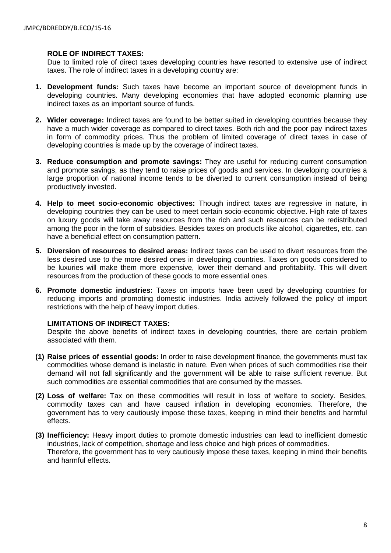#### **ROLE OF INDIRECT TAXES:**

Due to limited role of direct taxes developing countries have resorted to extensive use of indirect taxes. The role of indirect taxes in a developing country are:

- **1. Development funds:** Such taxes have become an important source of development funds in developing countries. Many developing economies that have adopted economic planning use indirect taxes as an important source of funds.
- **2. Wider coverage:** Indirect taxes are found to be better suited in developing countries because they have a much wider coverage as compared to direct taxes. Both rich and the poor pay indirect taxes in form of commodity prices. Thus the problem of limited coverage of direct taxes in case of developing countries is made up by the coverage of indirect taxes.
- **3. Reduce consumption and promote savings:** They are useful for reducing current consumption and promote savings, as they tend to raise prices of goods and services. In developing countries a large proportion of national income tends to be diverted to current consumption instead of being productively invested.
- **4. Help to meet socio-economic objectives:** Though indirect taxes are regressive in nature, in developing countries they can be used to meet certain socio-economic objective. High rate of taxes on luxury goods will take away resources from the rich and such resources can be redistributed among the poor in the form of subsidies. Besides taxes on products like alcohol, cigarettes, etc. can have a beneficial effect on consumption pattern.
- **5. Diversion of resources to desired areas:** Indirect taxes can be used to divert resources from the less desired use to the more desired ones in developing countries. Taxes on goods considered to be luxuries will make them more expensive, lower their demand and profitability. This will divert resources from the production of these goods to more essential ones.
- **6. Promote domestic industries:** Taxes on imports have been used by developing countries for reducing imports and promoting domestic industries. India actively followed the policy of import restrictions with the help of heavy import duties.

#### **LIMITATIONS OF INDIRECT TAXES:**

Despite the above benefits of indirect taxes in developing countries, there are certain problem associated with them.

- **(1) Raise prices of essential goods:** In order to raise development finance, the governments must tax commodities whose demand is inelastic in nature. Even when prices of such commodities rise their demand will not fall significantly and the government will be able to raise sufficient revenue. But such commodities are essential commodities that are consumed by the masses.
- **(2) Loss of welfare:** Tax on these commodities will result in loss of welfare to society. Besides, commodity taxes can and have caused inflation in developing economies. Therefore, the government has to very cautiously impose these taxes, keeping in mind their benefits and harmful effects.
- **(3) Inefficiency:** Heavy import duties to promote domestic industries can lead to inefficient domestic industries, lack of competition, shortage and less choice and high prices of commodities. Therefore, the government has to very cautiously impose these taxes, keeping in mind their benefits and harmful effects.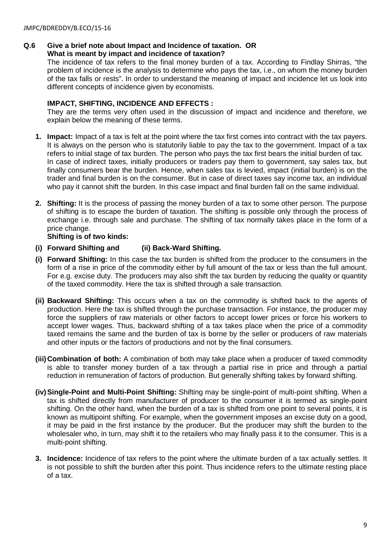# **Q.6 Give a brief note about Impact and Incidence of taxation. OR**

# **What is meant by impact and incidence of taxation?**

The incidence of tax refers to the final money burden of a tax. According to Findlay Shirras, "the problem of incidence is the analysis to determine who pays the tax, i.e., on whom the money burden of the tax falls or rests". In order to understand the meaning of impact and incidence let us look into different concepts of incidence given by economists.

#### **IMPACT, SHIFTING, INCIDENCE AND EFFECTS :**

They are the terms very often used in the discussion of impact and incidence and therefore, we explain below the meaning of these terms.

- **1. Impact:** Impact of a tax is felt at the point where the tax first comes into contract with the tax payers. It is always on the person who is statutorily liable to pay the tax to the government. Impact of a tax refers to initial stage of tax burden. The person who pays the tax first bears the initial burden of tax. In case of indirect taxes, initially producers or traders pay them to government, say sales tax, but finally consumers bear the burden. Hence, when sales tax is levied, impact (initial burden) is on the trader and final burden is on the consumer. But in case of direct taxes say income tax, an individual who pay it cannot shift the burden. In this case impact and final burden fall on the same individual.
- **2. Shifting:** It is the process of passing the money burden of a tax to some other person. The purpose of shifting is to escape the burden of taxation. The shifting is possible only through the process of exchange i.e. through sale and purchase. The shifting of tax normally takes place in the form of a price change.

# **Shifting is of two kinds:**

# **(i) Forward Shifting and (ii) Back-Ward Shifting.**

- **(i) Forward Shifting:** In this case the tax burden is shifted from the producer to the consumers in the form of a rise in price of the commodity either by full amount of the tax or less than the full amount. For e.g. excise duty. The producers may also shift the tax burden by reducing the quality or quantity of the taxed commodity. Here the tax is shifted through a sale transaction.
- **(ii) Backward Shifting:** This occurs when a tax on the commodity is shifted back to the agents of production. Here the tax is shifted through the purchase transaction. For instance, the producer may force the suppliers of raw materials or other factors to accept lower prices or force his workers to accept lower wages. Thus, backward shifting of a tax takes place when the price of a commodity taxed remains the same and the burden of tax is borne by the seller or producers of raw materials and other inputs or the factors of productions and not by the final consumers.
- **(iii)Combination of both:** A combination of both may take place when a producer of taxed commodity is able to transfer money burden of a tax through a partial rise in price and through a partial reduction in remuneration of factors of production. But generally shifting takes by forward shifting.
- **(iv)Single-Point and Multi-Point Shifting:** Shifting may be single-point of multi-point shifting. When a tax is shifted directly from manufacturer of producer to the consumer it is termed as single-point shifting. On the other hand, when the burden of a tax is shifted from one point to several points, it is known as multipoint shifting. For example, when the government imposes an excise duty on a good, it may be paid in the first instance by the producer. But the producer may shift the burden to the wholesaler who, in turn, may shift it to the retailers who may finally pass it to the consumer. This is a multi-point shifting.
- **3. Incidence:** Incidence of tax refers to the point where the ultimate burden of a tax actually settles. It is not possible to shift the burden after this point. Thus incidence refers to the ultimate resting place of a tax.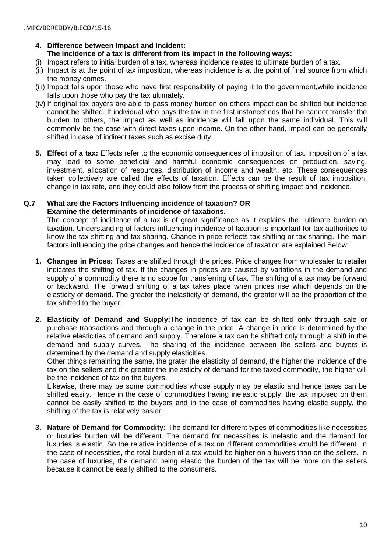# **4. Difference between Impact and Incident: The incidence of a tax is different from its impact in the following ways:**

- (i) Impact refers to initial burden of a tax, whereas incidence relates to ultimate burden of a tax.
- (ii) Impact is at the point of tax imposition, whereas incidence is at the point of final source from which the money comes.
- (iii) Impact falls upon those who have first responsibility of paying it to the government,while incidence falls upon those who pay the tax ultimately.
- (iv) If original tax payers are able to pass money burden on others impact can be shifted but incidence cannot be shifted. If individual who pays the tax in the first instancefinds that he cannot transfer the burden to others, the impact as well as incidence will fall upon the same individual. This will commonly be the case with direct taxes upon income. On the other hand, impact can be generally shifted in case of indirect taxes such as excise duty.
- **5. Effect of a tax:** Effects refer to the economic consequences of imposition of tax. Imposition of a tax may lead to some beneficial and harmful economic consequences on production, saving, investment, allocation of resources, distribution of income and wealth, etc. These consequences taken collectively are called the effects of taxation. Effects can be the result of tax imposition, change in tax rate, and they could also follow from the process of shifting impact and incidence.

#### **Q.7 What are the Factors Influencing incidence of taxation? OR Examine the determinants of incidence of taxations.**

The concept of incidence of a tax is of great significance as it explains the ultimate burden on taxation. Understanding of factors influencing incidence of taxation is important for tax authorities to know the tax shifting and tax sharing. Change in price reflects tax shifting or tax sharing. The main factors influencing the price changes and hence the incidence of taxation are explained Below:

- **1. Changes in Prices:** Taxes are shifted through the prices. Price changes from wholesaler to retailer indicates the shifting of tax. If the changes in prices are caused by variations in the demand and supply of a commodity there is no scope for transferring of tax. The shifting of a tax may be forward or backward. The forward shifting of a tax takes place when prices rise which depends on the elasticity of demand. The greater the inelasticity of demand, the greater will be the proportion of the tax shifted to the buyer.
- **2. Elasticity of Demand and Supply:**The incidence of tax can be shifted only through sale or purchase transactions and through a change in the price. A change in price is determined by the relative elasticities of demand and supply. Therefore a tax can be shifted only through a shift in the demand and supply curves. The sharing of the incidence between the sellers and buyers is determined by the demand and supply elasticities.

Other things remaining the same, the grater the elasticity of demand, the higher the incidence of the tax on the sellers and the greater the inelasticity of demand for the taxed commodity, the higher will be the incidence of tax on the buyers.

Likewise, there may be some commodities whose supply may be elastic and hence taxes can be shifted easily. Hence in the case of commodities having inelastic supply, the tax imposed on them cannot be easily shifted to the buyers and in the case of commodities having elastic supply, the shifting of the tax is relatively easier.

**3. Nature of Demand for Commodity:** The demand for different types of commodities like necessities or luxuries burden will be different. The demand for necessities is inelastic and the demand for luxuries is elastic. So the relative incidence of a tax on different commodities would be different. In the case of necessities, the total burden of a tax would be higher on a buyers than on the sellers. In the case of luxuries, the demand being elastic the burden of the tax will be more on the sellers because it cannot be easily shifted to the consumers.